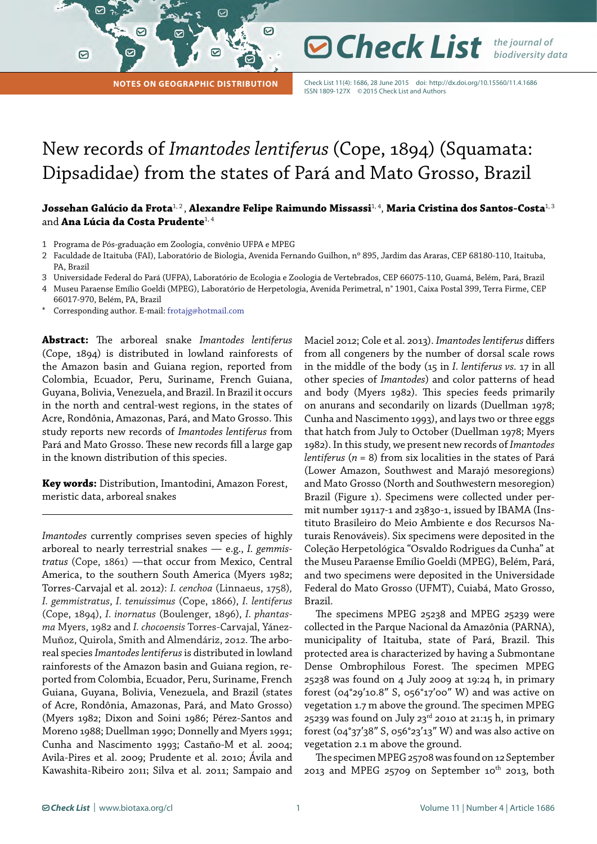**Notes on Geographic Distribution**

☞

☑

Check List 11(4): 1686, 28 June 2015 doi:<http://dx.doi.org/10.15560/11.4.1686> ISSN 1809-127X ©2015 Check List and Authors

**⊘ Check List** *the journal of* 

*biodiversity data*

# New records of *Imantodes lentiferus* (Cope, 1894) (Squamata: Dipsadidae) from the states of Pará and Mato Grosso, Brazil

☑

## **Jossehan Galúcio da Frota**1, 2 , **Alexandre Felipe Raimundo Missassi**1, 4, **Maria Cristina dos Santos-Costa**1, 3 and **Ana Lúcia da Costa Prudente**1, 4

- 1 Programa de Pós-graduação em Zoologia, convênio UFPA e MPEG
- 2 Faculdade de Itaituba (FAI), Laboratório de Biologia, Avenida Fernando Guilhon, nº 895, Jardim das Araras, CEP 68180-110, Itaituba, PA, Brazil
- 3 Universidade Federal do Pará (UFPA), Laboratório de Ecologia e Zoologia de Vertebrados, CEP 66075-110, Guamá, Belém, Pará, Brazil 4 Museu Paraense Emílio Goeldi (MPEG), Laboratório de Herpetologia, Avenida Perimetral, n° 1901, Caixa Postal 399, Terra Firme, CEP
- 66017-970, Belém, PA, Brazil Corresponding author. E-mail: frotajg@hotmail.com

**Abstract:** The arboreal snake *Imantodes lentiferus* (Cope, 1894) is distributed in lowland rainforests of the Amazon basin and Guiana region, reported from Colombia, Ecuador, Peru, Suriname, French Guiana, Guyana, Bolivia, Venezuela, and Brazil. In Brazil it occurs in the north and central-west regions, in the states of Acre, Rondônia, Amazonas, Pará, and Mato Grosso. This study reports new records of *Imantodes lentiferus* from Pará and Mato Grosso. These new records fill a large gap in the known distribution of this species.

**Key words:** Distribution, Imantodini, Amazon Forest, meristic data, arboreal snakes

*Imantodes* currently comprises seven species of highly arboreal to nearly terrestrial snakes — e.g., *I. gemmistratus* (Cope, 1861) —that occur from Mexico, Central America, to the southern South America (Myers 1982; Torres-Carvajal et al. 2012): *I. cenchoa* (Linnaeus, 1758)*, I. gemmistratus*, *I. tenuissimus* (Cope, 1866), *I. lentiferus* (Cope, 1894), *I. inornatus* (Boulenger, 1896), *I. phantasma* Myers, 1982 and *I. chocoensis* Torres-Carvajal, Yánez-Muñoz, Quirola, Smith and Almendáriz, 2012. The arboreal species *Imantodes lentiferus* is distributed in lowland rainforests of the Amazon basin and Guiana region, reported from Colombia, Ecuador, Peru, Suriname, French Guiana, Guyana, Bolivia, Venezuela, and Brazil (states of Acre, Rondônia, Amazonas, Pará, and Mato Grosso) (Myers 1982; Dixon and Soini 1986; Pérez-Santos and Moreno 1988; Duellman 1990; Donnelly and Myers 1991; Cunha and Nascimento 1993; Castaño-M et al. 2004; Avila-Pires et al. 2009; Prudente et al. 2010; Ávila and Kawashita-Ribeiro 2011; Silva et al. 2011; Sampaio and

Maciel 2012; Cole et al. 2013). *Imantodes lentiferus* differs from all congeners by the number of dorsal scale rows in the middle of the body (15 in *I. lentiferus vs.* 17 in all other species of *Imantodes*) and color patterns of head and body (Myers 1982). This species feeds primarily on anurans and secondarily on lizards (Duellman 1978; Cunha and Nascimento 1993), and lays two or three eggs that hatch from July to October (Duellman 1978; Myers 1982). In this study, we present new records of *Imantodes lentiferus* (*n* = 8) from six localities in the states of Pará (Lower Amazon, Southwest and Marajó mesoregions) and Mato Grosso (North and Southwestern mesoregion) Brazil (Figure 1). Specimens were collected under permit number 19117-1 and 23830-1, issued by IBAMA (Instituto Brasileiro do Meio Ambiente e dos Recursos Naturais Renováveis). Six specimens were deposited in the Coleção Herpetológica "Osvaldo Rodrigues da Cunha" at the Museu Paraense Emílio Goeldi (MPEG), Belém, Pará, and two specimens were deposited in the Universidade Federal do Mato Grosso (UFMT), Cuiabá, Mato Grosso, Brazil.

The specimens MPEG 25238 and MPEG 25239 were collected in the Parque Nacional da Amazônia (PARNA), municipality of Itaituba, state of Pará, Brazil. This protected area is characterized by having a Submontane Dense Ombrophilous Forest. The specimen MPEG 25238 was found on 4 July 2009 at 19:24 h, in primary forest (04°29′10.8″ S, 056°17′00″ W) and was active on vegetation 1.7 m above the ground. The specimen MPEG 25239 was found on July 23 $^{rd}$  2010 at 21:15 h, in primary forest (04°37′38″ S, 056°23′13″ W) and was also active on vegetation 2.1 m above the ground.

The specimen MPEG 25708 was found on 12 September 2013 and MPEG 25709 on September  $10^{th}$  2013, both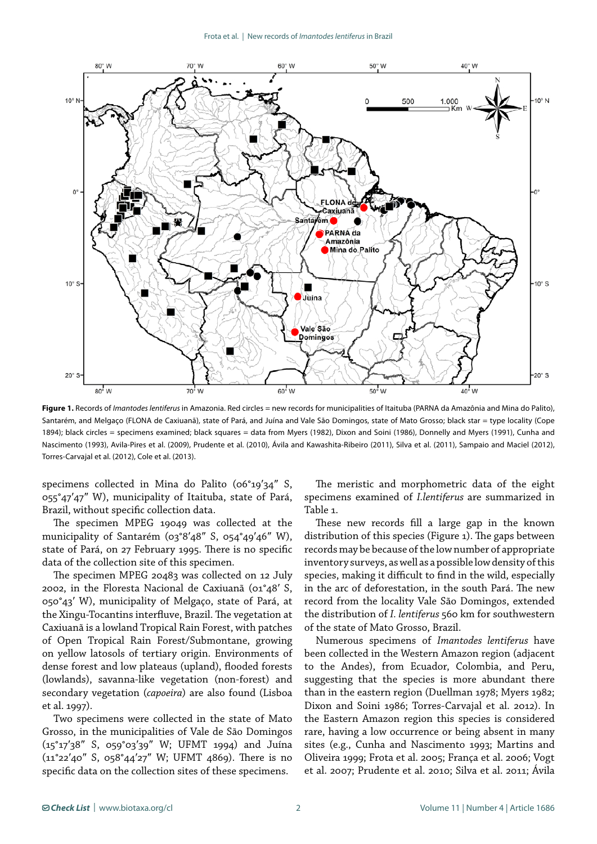

**Figure 1.** Records of *Imantodes lentiferus* in Amazonia. Red circles = new records for municipalities of Itaituba (PARNA da Amazônia and Mina do Palito), Santarém, and Melgaço (FLONA de Caxiuanã), state of Pará, and Juína and Vale São Domingos, state of Mato Grosso; black star = type locality (Cope 1894); black circles = specimens examined; black squares = data from Myers (1982), Dixon and Soini (1986), Donnelly and Myers (1991), Cunha and Nascimento (1993), Avila-Pires et al. (2009), Prudente et al. (2010), Ávila and Kawashita-Ribeiro (2011), Silva et al. (2011), Sampaio and Maciel (2012), Torres-Carvajal et al. (2012), Cole et al. (2013).

specimens collected in Mina do Palito (06°19′34″ S, 055°47′47″ W), municipality of Itaituba, state of Pará, Brazil, without specific collection data.

The specimen MPEG 19049 was collected at the municipality of Santarém (03°8′48″ S, 054°49′46″ W), state of Pará, on 27 February 1995. There is no specific data of the collection site of this specimen.

The specimen MPEG 20483 was collected on 12 July 2002, in the Floresta Nacional de Caxiuanã (01°48′ S, 050°43′ W), municipality of Melgaço, state of Pará, at the Xingu-Tocantins interfluve, Brazil. The vegetation at Caxiuanã is a lowland Tropical Rain Forest, with patches of Open Tropical Rain Forest/Submontane, growing on yellow latosols of tertiary origin. Environments of dense forest and low plateaus (upland), flooded forests (lowlands), savanna-like vegetation (non-forest) and secondary vegetation (*capoeira*) are also found (Lisboa et al. 1997).

Two specimens were collected in the state of Mato Grosso, in the municipalities of Vale de São Domingos (15°17′38″ S, 059°03′39″ W; UFMT 1994) and Juína (11°22′40″ S, 058°44′27″ W; UFMT 4869). There is no specific data on the collection sites of these specimens.

The meristic and morphometric data of the eight specimens examined of *I.lentiferus* are summarized in Table 1.

These new records fill a large gap in the known distribution of this species (Figure 1). The gaps between records may be because of the low number of appropriate inventory surveys, as well as a possible low density of this species, making it difficult to find in the wild, especially in the arc of deforestation, in the south Pará. The new record from the locality Vale São Domingos, extended the distribution of *I. lentiferus* 560 km for southwestern of the state of Mato Grosso, Brazil.

Numerous specimens of *Imantodes lentiferus* have been collected in the Western Amazon region (adjacent to the Andes), from Ecuador, Colombia, and Peru, suggesting that the species is more abundant there than in the eastern region (Duellman 1978; Myers 1982; Dixon and Soini 1986; Torres-Carvajal et al. 2012). In the Eastern Amazon region this species is considered rare, having a low occurrence or being absent in many sites (e.g., Cunha and Nascimento 1993; Martins and Oliveira 1999; Frota et al. 2005; França et al. 2006; Vogt et al. 2007; Prudente et al. 2010; Silva et al. 2011; Ávila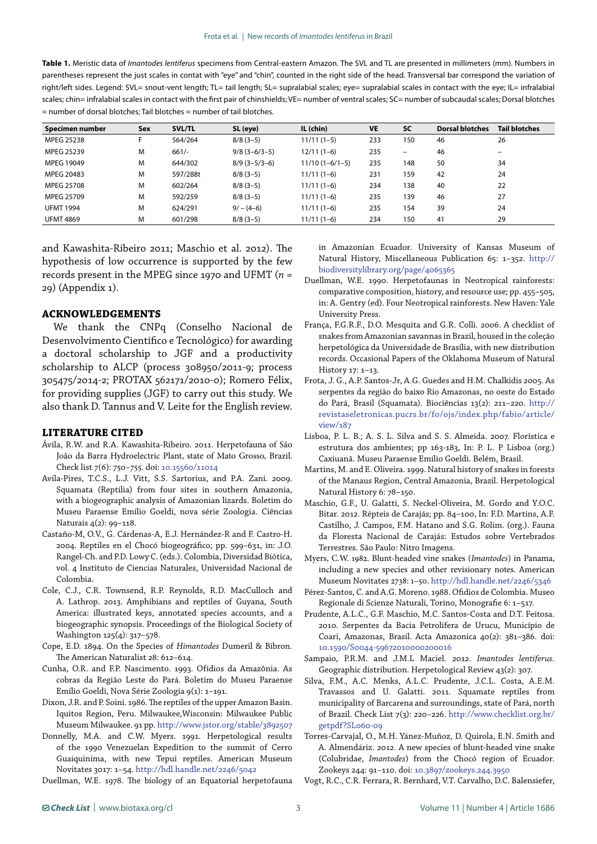**Table 1.** Meristic data of *Imantodes lentiferus* specimens from Central-eastern Amazon. The SVL and TL are presented in millimeters (mm). Numbers in parentheses represent the just scales in contat with "eye" and "chin", counted in the right side of the head. Transversal bar correspond the variation of right/left sides. Legend: SVL= snout-vent length; TL= tail length; SL= supralabial scales; eye= supralabial scales in contact with the eye; IL= infralabial scales; chin= infralabial scales in contact with the first pair of chinshields; VE= number of ventral scales; SC= number of subcaudal scales; Dorsal blotches = number of dorsal blotches; Tail blotches = number of tail blotches.

| Specimen number  | <b>Sex</b> | <b>SVL/TL</b> | SL (eye)        | IL (chin)        | VE  | <b>SC</b> | <b>Dorsal blotches</b> | <b>Tail blotches</b> |
|------------------|------------|---------------|-----------------|------------------|-----|-----------|------------------------|----------------------|
| MPEG 25238       |            | 564/264       | $8/8(3-5)$      | $11/11(1-5)$     | 233 | 150       | 46                     | 26                   |
| MPEG 25239       | M          | $661/-$       | $9/8$ (3-6/3-5) | $12/11(1-6)$     | 235 | -         | 46                     | -                    |
| MPEG 19049       | M          | 644/302       | $8/9$ (3-5/3-6) | $11/10(1-6/1-5)$ | 235 | 148       | 50                     | 34                   |
| MPEG 20483       | M          | 597/288t      | $8/8(3-5)$      | $11/11(1-6)$     | 231 | 159       | 42                     | 24                   |
| MPEG 25708       | M          | 602/264       | $8/8(3-5)$      | $11/11(1-6)$     | 234 | 138       | 40                     | 22                   |
| MPEG 25709       | M          | 592/259       | $8/8(3-5)$      | $11/11(1-6)$     | 235 | 139       | 46                     | 27                   |
| <b>UFMT 1994</b> | M          | 624/291       | $9/ - (4-6)$    | $11/11(1-6)$     | 235 | 154       | 39                     | 24                   |
| <b>UFMT 4869</b> | M          | 601/298       | $8/8(3-5)$      | $11/11(1-6)$     | 234 | 150       | 41                     | 29                   |

and Kawashita-Ribeiro 2011; Maschio et al. 2012). The hypothesis of low occurrence is supported by the few records present in the MPEG since 1970 and UFMT (*n* = 29) (Appendix 1).

#### **ACKNOWLEDGEMENTS**

We thank the CNPq (Conselho Nacional de Desenvolvimento Científico e Tecnológico) for awarding a doctoral scholarship to JGF and a productivity scholarship to ALCP (process 308950/2011-9; process 305475/2014-2; PROTAX 562171/2010-0); Romero Félix, for providing supplies (JGF) to carry out this study. We also thank D. Tannus and V. Leite for the English review.

### **LITERATURE CITED**

- Ávila, R.W. and R.A. Kawashita-Ribeiro. 2011. Herpetofauna of São João da Barra Hydroelectric Plant, state of Mato Grosso, Brazil. Check list 7(6): 750–755. doi: [10.15560/11014](http://dx.doi.org/10.15560/11014)
- Avila-Pires, T.C.S., L.J. Vitt, S.S. Sartorius, and P.A. Zani. 2009. Squamata (Reptilia) from four sites in southern Amazonia, with a biogeographic analysis of Amazonian lizards. Boletim do Museu Paraense Emílio Goeldi, nova série Zoologia. Ciências Naturais 4(2): 99–118.
- Castaño-M, O.V., G. Cárdenas-A, E.J. Hernández-R and F. Castro-H. 2004. Reptiles en el Chocó biogeográfico; pp. 599–631, in: J.O. Rangel-Ch. and P.D. Lowy C. (eds.). Colombia, Diversidad Biótica, vol. 4 Instituto de Ciencias Naturales, Universidad Nacional de Colombia.
- Cole, C.J., C.R. Townsend, R.P. Reynolds, R.D. MacCulloch and A. Lathrop. 2013. Amphibians and reptiles of Guyana, South America: illustrated keys, annotated species accounts, and a biogeographic synopsis. Proceedings of the Biological Society of Washington 125(4): 317–578.
- Cope, E.D. 1894. On the Species of *Himantodes* Dumeril & Bibron. The American Naturalist 28: 612–614.
- Cunha, O.R. and F.P. Nascimento. 1993. Ofídios da Amazônia. As cobras da Região Leste do Pará*.* Boletim do Museu Paraense Emílio Goeldi, Nova Série Zoologia 9(1): 1–191.
- Dixon, J.R. and P. Soini. 1986. The reptiles of the upper Amazon Basin. Iquitos Region, Peru. Milwaukee,Wisconsin: Milwaukee Public Museum Milwaukee. 91 pp.<http://www.jstor.org/stable/3892507>
- Donnelly, M.A. and C.W. Myers. 1991. Herpetological results of the 1990 Venezuelan Expedition to the summit of Cerro Guaiquinima, with new Tepui reptiles. American Museum Novitates 3017: 1–54.<http://hdl.handle.net/2246/5042>

Duellman, W.E. 1978. The biology of an Equatorial herpetofauna

in Amazonian Ecuador. University of Kansas Museum of Natural History, Miscellaneous Publication 65: 1–352. [http://](http://biodiversitylibrary.org/page/4065365) [biodiversitylibrary.org/page/4065365](http://biodiversitylibrary.org/page/4065365)

- Duellman, W.E. 1990. Herpetofaunas in Neotropical rainforests: comparative composition, history, and resource use; pp. 455–505, in: A. Gentry (ed). Four Neotropical rainforests. New Haven: Yale University Press.
- França, F.G.R.F., D.O. Mesquita and G.R. Colli. 2006. A checklist of snakes from Amazonian savannas in Brazil, housed in the coleção herpetológica da Universidade de Brasília, with new distribution records. Occasional Papers of the Oklahoma Museum of Natural History 17: 1–13.
- Frota, J. G., A.P. Santos-Jr, A.G. Guedes and H.M. Chalkidis 2005. As serpentes da região do baixo Rio Amazonas, no oeste do Estado do Pará, Brasil (Squamata). Biociências 13(2): 211–220. [http://](http://revistaseletronicas.pucrs.br/fo/ojs/index.php/fabio/article/view/187) [revistaseletronicas.pucrs.br/fo/ojs/index.php/fabio/article/](http://revistaseletronicas.pucrs.br/fo/ojs/index.php/fabio/article/view/187) [view/187](http://revistaseletronicas.pucrs.br/fo/ojs/index.php/fabio/article/view/187)
- Lisboa, P. L. B.; A. S. L. Silva and S. S. Almeida. 2007. Florística e estrutura dos ambientes; pp 163-183, In: P. L. P Lisboa (org.) Caxiuanã. Museu Paraense Emílio Goeldi. Belém, Brasil.
- Martins, M. and E. Oliveira. 1999. Natural history of snakes in forests of the Manaus Region, Central Amazonia, Brazil. Herpetological Natural History 6: 78–150.
- Maschio, G.F., U. Galatti, S. Neckel-Oliveira, M. Gordo and Y.O.C. Bitar. 2012. Répteis de Carajás; pp. 84–100, In: F.D. Martins, A.F. Castilho, J. Campos, F.M. Hatano and S.G. Rolim. (org.). Fauna da Floresta Nacional de Carajás: Estudos sobre Vertebrados Terrestres. São Paulo: Nitro Imagens.
- Myers, C.W. 1982. Blunt-headed vine snakes (*Imantodes*) in Panama, including a new species and other revisionary notes. American Museum Novitates 2738: 1–50. <http://hdl.handle.net/2246/5346>
- Pérez-Santos, C. and A.G. Moreno. 1988. Ofidios de Colombia. Museo Regionale di Scienze Naturali, Torino, Monografie 6: 1–517.
- Prudente, A.L.C., G.F. Maschio, M.C. Santos-Costa and D.T. Feitosa. 2010. Serpentes da Bacia Petrolífera de Urucu, Município de Coari, Amazonas, Brasil. Acta Amazonica 40(2): 381–386. doi: [10.1590/S0044-59672010000200016](http://dx.doi.org/10.1590/S0044-59672010000200016)
- Sampaio, P.R.M. and J.M.L Maciel. 2012. *Imantodes lentiferus.*  Geographic distribution. Herpetological Review 43(2): 307.
- Silva, F.M., A.C. Menks, A.L.C. Prudente, J.C.L. Costa, A.E.M. Travassos and U. Galatti. 2011. Squamate reptiles from municipality of Barcarena and surroundings, state of Pará, north of Brazil. Check List 7(3): 220–226. [http://www.checklist.org.br/](http://www.checklist.org.br/getpdf?SL060-09) [getpdf?SL060-09](http://www.checklist.org.br/getpdf?SL060-09)

Torres-Carvajal, O., M.H. Yánez-Muñoz, D. Quirola, E.N. Smith and A. Almendáriz. 2012. A new species of blunt-headed vine snake (Colubridae, *Imantodes*) from the Chocó region of Ecuador. Zookeys 244: 91–110. doi: [10.3897/zookeys.244.3950](http://dx.doi.org/10.3897/zookeys.244.3950)

Vogt, R.C., C.R. Ferrara, R. Bernhard, V.T. Carvalho, D.C. Balensiefer,